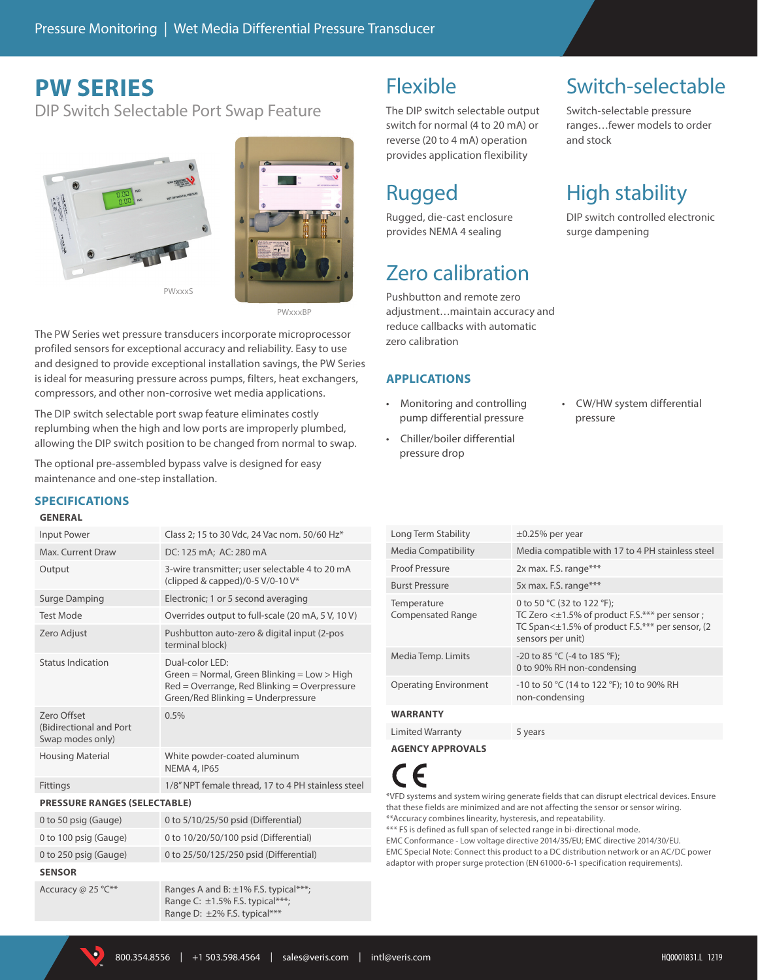## **PW SERIES**

DIP Switch Selectable Port Swap Feature





PWxxxBP

The PW Series wet pressure transducers incorporate microprocessor profiled sensors for exceptional accuracy and reliability. Easy to use and designed to provide exceptional installation savings, the PW Series is ideal for measuring pressure across pumps, filters, heat exchangers, compressors, and other non-corrosive wet media applications.

The DIP switch selectable port swap feature eliminates costly replumbing when the high and low ports are improperly plumbed, allowing the DIP switch position to be changed from normal to swap.

The optional pre-assembled bypass valve is designed for easy maintenance and one-step installation.

### **SPECIFICATIONS**

#### **GENERAL**

### Input Power Class 2; 15 to 30 Vdc, 24 Vac nom. 50/60 Hz\* Max. Current Draw DC: 125 mA; AC: 280 mA Output 3-wire transmitter; user selectable 4 to 20 mA (clipped & capped)/0-5 V/0-10 V\* Surge Damping Electronic; 1 or 5 second averaging Test Mode Overrides output to full-scale (20 mA, 5 V, 10 V) Zero Adjust Pushbutton auto-zero & digital input (2-pos terminal block) Status Indication Dual-color LED: Green = Normal, Green Blinking = Low > High Red = Overrange, Red Blinking = Overpressure Green/Red Blinking = Underpressure Zero Offset (Bidirectional and Port Swap modes only) 0.5% Housing Material White powder-coated aluminum NEMA 4, IP65 Fittings 1/8" NPT female thread, 17 to 4 PH stainless steel **PRESSURE RANGES (SELECTABLE)** 0 to 50 psig (Gauge) 0 to 5/10/25/50 psid (Differential) 0 to 100 psig (Gauge) 0 to 10/20/50/100 psid (Differential) 0 to 250 psig (Gauge) 0 to 25/50/125/250 psid (Differential) **SENSOR** Accuracy @ 25 °C\*\* Ranges A and B:  $\pm$ 1% F.S. typical\*\*\*;

Range C: ±1.5% F.S. typical\*\*\*; Range D: ±2% F.S. typical\*\*\*

### Flexible

The DIP switch selectable output switch for normal (4 to 20 mA) or reverse (20 to 4 mA) operation provides application flexibility

# Rugged

Rugged, die-cast enclosure provides NEMA 4 sealing

# Zero calibration

Pushbutton and remote zero adjustment…maintain accuracy and reduce callbacks with automatic zero calibration

### **APPLICATIONS**

- Monitoring and controlling pump differential pressure
- Chiller/boiler differential pressure drop

## Switch-selectable

Switch-selectable pressure ranges…fewer models to order and stock

# High stability

DIP switch controlled electronic surge dampening

• CW/HW system differential pressure

| Long Term Stability                     | $\pm 0.25\%$ per year                                                                                                                                       |  |
|-----------------------------------------|-------------------------------------------------------------------------------------------------------------------------------------------------------------|--|
| Media Compatibility                     | Media compatible with 17 to 4 PH stainless steel                                                                                                            |  |
| <b>Proof Pressure</b>                   | 2x max. F.S. range***                                                                                                                                       |  |
| <b>Burst Pressure</b>                   | 5x max. F.S. range***                                                                                                                                       |  |
| Temperature<br><b>Compensated Range</b> | 0 to 50 °C (32 to 122 °F);<br>TC Zero $\lt\pm$ 1.5% of product F.S.*** per sensor ;<br>TC Span<±1.5% of product F.S.*** per sensor, (2<br>sensors per unit) |  |
| Media Temp. Limits                      | -20 to 85 °C (-4 to 185 °F);<br>0 to 90% RH non-condensing                                                                                                  |  |
| <b>Operating Environment</b>            | -10 to 50 °C (14 to 122 °F); 10 to 90% RH<br>non-condensing                                                                                                 |  |
| <b>WARRANTY</b>                         |                                                                                                                                                             |  |
|                                         |                                                                                                                                                             |  |

Limited Warranty 5 years

**AGENCY APPROVALS**



\*VFD systems and system wiring generate fields that can disrupt electrical devices. Ensure that these fields are minimized and are not affecting the sensor or sensor wiring. \*\*Accuracy combines linearity, hysteresis, and repeatability.

\*\*\* FS is defined as full span of selected range in bi-directional mode

EMC Conformance - Low voltage directive 2014/35/EU; EMC directive 2014/30/EU. EMC Special Note: Connect this product to a DC distribution network or an AC/DC power adaptor with proper surge protection (EN 61000-6-1 specification requirements).